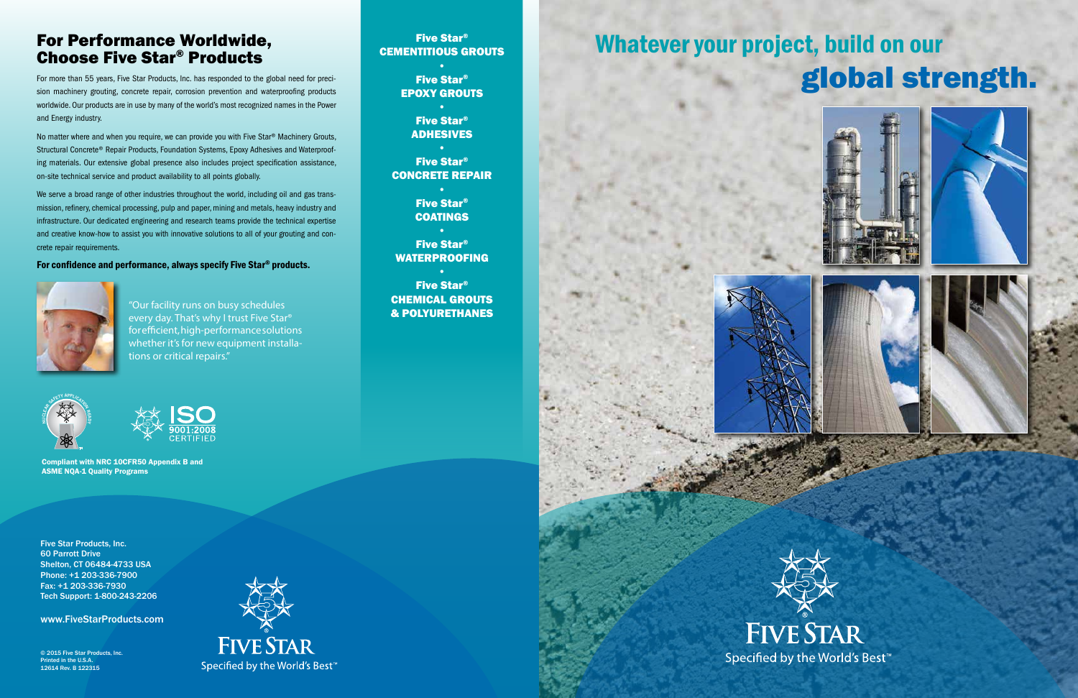# Whatever your project, build on our global strength.













Five Star® CEMENTITIOUS GROUTS

> Five Star® EPOXY GROUTS

> > Five Star® ADHESIVES

Five Star® CONCRETE REPAIR

> Five Star® COATINGS

Five Star® WATERPROOFING

Five Star® CHEMICAL GROUTS & POLYURETHANES

# For Performance Worldwide, Choose Five Star® Products

For more than 55 years, Five Star Products, Inc. has responded to the global need for precision machinery grouting, concrete repair, corrosion prevention and waterproofing products worldwide. Our products are in use by many of the world's most recognized names in the Power and Energy industry.

We serve a broad range of other industries throughout the world, including oil and gas transmission, refinery, chemical processing, pulp and paper, mining and metals, heavy industry and infrastructure. Our dedicated engineering and research teams provide the technical expertise and creative know-how to assist you with innovative solutions to all of your grouting and concrete repair requirements.

No matter where and when you require, we can provide you with Five Star® Machinery Grouts, Structural Concrete® Repair Products, Foundation Systems, Epoxy Adhesives and Waterproofing materials. Our extensive global presence also includes project specification assistance, on-site technical service and product availability to all points globally.

### For confidence and performance, always specify Five Star® products.



"Our facility runs on busy schedules every day. That's why I trust Five Star® for efficient, high-performance solutions whether it's for new equipment installations or critical repairs."





Five Star Products, Inc. 60 Parrott Drive Shelton, CT 06484-4733 USA Phone: +1 203-336-7900 Fax: +1 203-336-7930 Tech Support: 1-800-243-2206

www.FiveStarProducts.com

© 2015 Five Star Products, Inc. Printed in the U.S.A. 12614 Rev. B 122315



Compliant with NRC 10CFR50 Appendix B and ASME NQA-1 Quality Programs